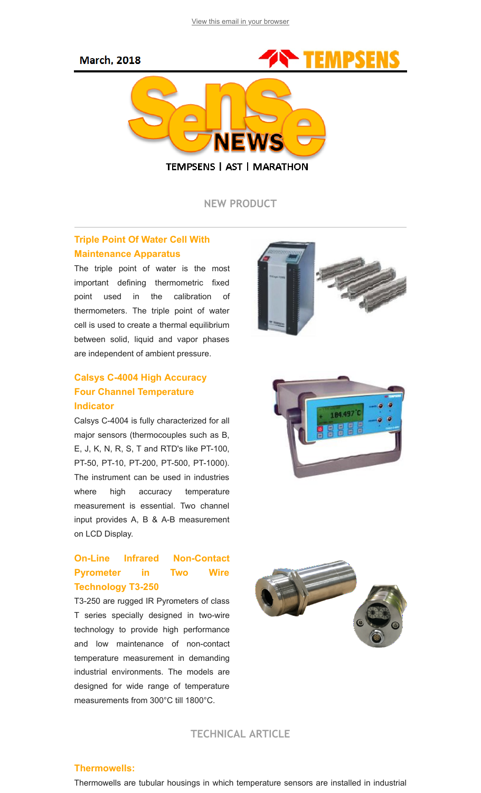#### **March, 2018**



NEW PRODUCT

### Triple Point Of Water Cell With Maintenance Apparatus

The triple point of water is the most important defining thermometric fixed point used in the calibration of thermometers. The triple point of water cell is used to create a thermal equilibrium between solid, liquid and vapor phases are independent of ambient pressure.

## Calsys C-4004 High Accuracy Four Channel Temperature Indicator

Calsys C-4004 is fully characterized for all major sensors (thermocouples such as B, E, J, K, N, R, S, T and RTD's like PT-100, PT-50, PT-10, PT-200, PT-500, PT-1000). The instrument can be used in industries where high accuracy temperature measurement is essential. Two channel input provides A, B & A-B measurement on LCD Display.

# On-Line Infrared Non-Contact Pyrometer in Two Wire Technology T3-250

T3-250 are rugged IR Pyrometers of class T series specially designed in two-wire technology to provide high performance and low maintenance of non-contact temperature measurement in demanding industrial environments. The models are designed for wide range of temperature measurements from 300°C till 1800°C.







TECHNICAL ARTICLE

#### Thermowells:

Thermowells are tubular housings in which temperature sensors are installed in industrial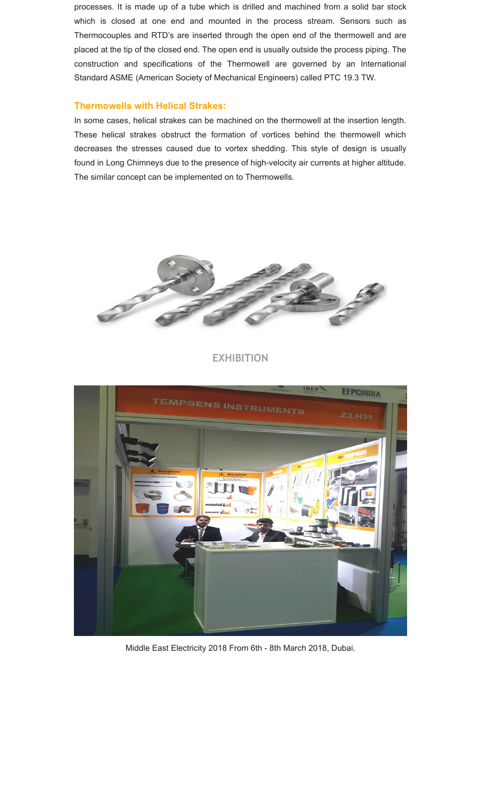processes. It is made up of a tube which is drilled and machined from a solid bar stock which is closed at one end and mounted in the process stream. Sensors such as Thermocouples and RTD's are inserted through the open end of the thermowell and are placed at the tip of the closed end. The open end is usually outside the process piping. The construction and specifications of the Thermowell are governed by an International Standard ASME (American Society of Mechanical Engineers) called PTC 19.3 TW.

#### Thermowells with Helical Strakes:

In some cases, helical strakes can be machined on the thermowell at the insertion length. These helical strakes obstruct the formation of vortices behind the thermowell which decreases the stresses caused due to vortex shedding. This style of design is usually found in Long Chimneys due to the presence of high-velocity air currents at higher altitude. The similar concept can be implemented on to Thermowells.



#### EXHIBITION



Middle East Electricity 2018 From 6th - 8th March 2018, Dubai.